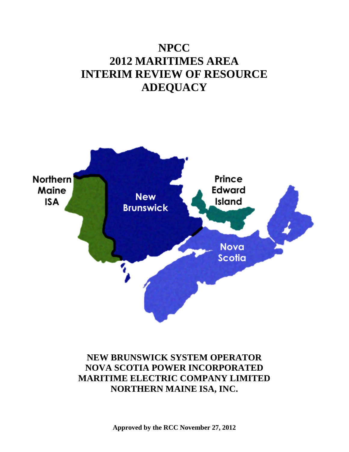

# **NEW BRUNSWICK SYSTEM OPERATOR NOVA SCOTIA POWER INCORPORATED MARITIME ELECTRIC COMPANY LIMITED NORTHERN MAINE ISA, INC.**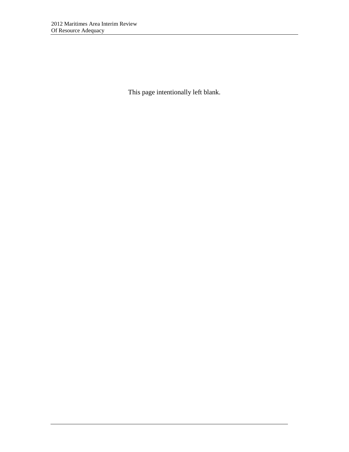This page intentionally left blank.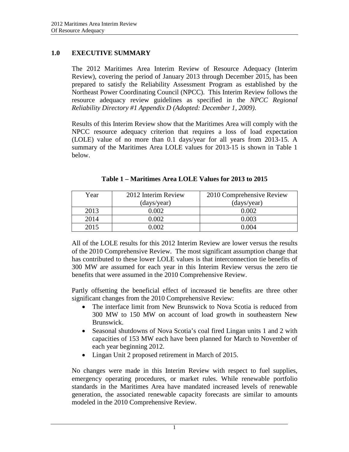# **1.0 EXECUTIVE SUMMARY**

The 2012 Maritimes Area Interim Review of Resource Adequacy (Interim Review), covering the period of January 2013 through December 2015, has been prepared to satisfy the Reliability Assessment Program as established by the Northeast Power Coordinating Council (NPCC). This Interim Review follows the resource adequacy review guidelines as specified in the *NPCC Regional Reliability Directory #1 Appendix D (Adopted: December 1, 2009)*.

Results of this Interim Review show that the Maritimes Area will comply with the NPCC resource adequacy criterion that requires a loss of load expectation (LOLE) value of no more than 0.1 days/year for all years from 2013-15. A summary of the Maritimes Area LOLE values for 2013-15 is shown in Table 1 below.

| Year | 2012 Interim Review | 2010 Comprehensive Review |  |  |
|------|---------------------|---------------------------|--|--|
|      | (days/year)         | (days/year)               |  |  |
| 2013 |                     | 0.002                     |  |  |
| 2014 | J.OO2               | 0.003                     |  |  |
| 2015 |                     | ን 004                     |  |  |

All of the LOLE results for this 2012 Interim Review are lower versus the results of the 2010 Comprehensive Review. The most significant assumption change that has contributed to these lower LOLE values is that interconnection tie benefits of 300 MW are assumed for each year in this Interim Review versus the zero tie benefits that were assumed in the 2010 Comprehensive Review.

Partly offsetting the beneficial effect of increased tie benefits are three other significant changes from the 2010 Comprehensive Review:

- The interface limit from New Brunswick to Nova Scotia is reduced from 300 MW to 150 MW on account of load growth in southeastern New Brunswick.
- Seasonal shutdowns of Nova Scotia's coal fired Lingan units 1 and 2 with capacities of 153 MW each have been planned for March to November of each year beginning 2012.
- Lingan Unit 2 proposed retirement in March of 2015.

No changes were made in this Interim Review with respect to fuel supplies, emergency operating procedures, or market rules. While renewable portfolio standards in the Maritimes Area have mandated increased levels of renewable generation, the associated renewable capacity forecasts are similar to amounts modeled in the 2010 Comprehensive Review.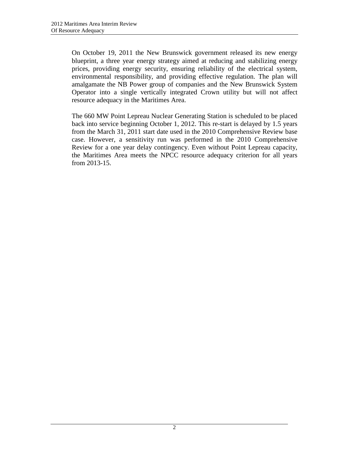On October 19, 2011 the New Brunswick government released its new energy blueprint, a three year energy strategy aimed at reducing and stabilizing energy prices, providing energy security, ensuring reliability of the electrical system, environmental responsibility, and providing effective regulation. The plan will amalgamate the NB Power group of companies and the New Brunswick System Operator into a single vertically integrated Crown utility but will not affect resource adequacy in the Maritimes Area.

The 660 MW Point Lepreau Nuclear Generating Station is scheduled to be placed back into service beginning October 1, 2012. This re-start is delayed by 1.5 years from the March 31, 2011 start date used in the 2010 Comprehensive Review base case. However, a sensitivity run was performed in the 2010 Comprehensive Review for a one year delay contingency. Even without Point Lepreau capacity, the Maritimes Area meets the NPCC resource adequacy criterion for all years from 2013-15.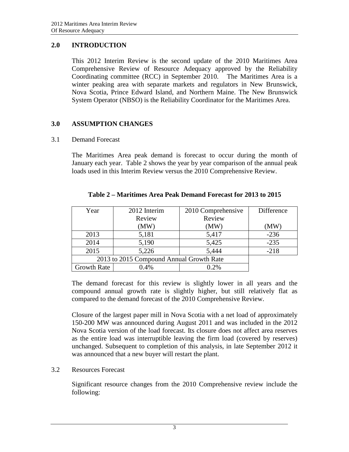# **2.0 INTRODUCTION**

This 2012 Interim Review is the second update of the 2010 Maritimes Area Comprehensive Review of Resource Adequacy approved by the Reliability Coordinating committee (RCC) in September 2010. The Maritimes Area is a winter peaking area with separate markets and regulators in New Brunswick, Nova Scotia, Prince Edward Island, and Northern Maine. The New Brunswick System Operator (NBSO) is the Reliability Coordinator for the Maritimes Area.

## **3.0 ASSUMPTION CHANGES**

#### 3.1 Demand Forecast

The Maritimes Area peak demand is forecast to occur during the month of January each year. Table 2 shows the year by year comparison of the annual peak loads used in this Interim Review versus the 2010 Comprehensive Review.

| Year                                     | 2012 Interim | 2010 Comprehensive | Difference |
|------------------------------------------|--------------|--------------------|------------|
|                                          | Review       | Review             |            |
|                                          | (MW)         | (MW)               | (MW)       |
| 2013                                     | 5,181        | 5,417              | $-236$     |
| 2014                                     | 5,190        | 5,425              | $-235$     |
| 2015                                     | 5,226        | 5,444              | $-218$     |
| 2013 to 2015 Compound Annual Growth Rate |              |                    |            |
| <b>Growth Rate</b>                       | 0.4%         | $0.2\%$            |            |

#### **Table 2 – Maritimes Area Peak Demand Forecast for 2013 to 2015**

The demand forecast for this review is slightly lower in all years and the compound annual growth rate is slightly higher, but still relatively flat as compared to the demand forecast of the 2010 Comprehensive Review.

Closure of the largest paper mill in Nova Scotia with a net load of approximately 150-200 MW was announced during August 2011 and was included in the 2012 Nova Scotia version of the load forecast. Its closure does not affect area reserves as the entire load was interruptible leaving the firm load (covered by reserves) unchanged. Subsequent to completion of this analysis, in late September 2012 it was announced that a new buyer will restart the plant.

### 3.2 Resources Forecast

Significant resource changes from the 2010 Comprehensive review include the following: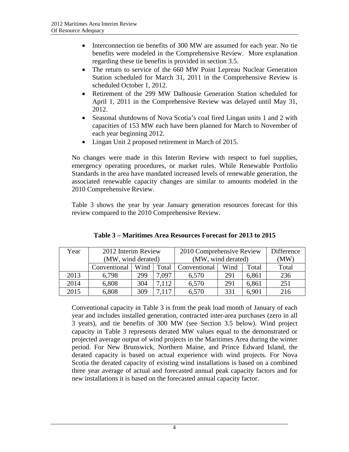- Interconnection tie benefits of 300 MW are assumed for each year. No tie benefits were modeled in the Comprehensive Review. More explanation regarding these tie benefits is provided in section 3.5.
- The return to service of the 660 MW Point Lepreau Nuclear Generation Station scheduled for March 31, 2011 in the Comprehensive Review is scheduled October 1, 2012.
- Retirement of the 299 MW Dalhousie Generation Station scheduled for April 1, 2011 in the Comprehensive Review was delayed until May 31, 2012.
- Seasonal shutdowns of Nova Scotia's coal fired Lingan units 1 and 2 with capacities of 153 MW each have been planned for March to November of each year beginning 2012.
- Lingan Unit 2 proposed retirement in March of 2015.

No changes were made in this Interim Review with respect to fuel supplies, emergency operating procedures, or market rules. While Renewable Portfolio Standards in the area have mandated increased levels of renewable generation, the associated renewable capacity changes are similar to amounts modeled in the 2010 Comprehensive Review.

Table 3 shows the year by year January generation resources forecast for this review compared to the 2010 Comprehensive Review.

| Year | 2012 Interim Review |      | 2010 Comprehensive Review |                     |      | Difference |       |
|------|---------------------|------|---------------------------|---------------------|------|------------|-------|
|      | (MW, wind derated)  |      |                           | (MW, wind derated)  |      | (MW)       |       |
|      | Conventional        | Wind | Total                     | <b>Conventional</b> | Wind | Total      | Total |
| 2013 | 6,798               | 299  | 7.097                     | 6,570               | 291  | 6,861      | 236   |
| 2014 | 6,808               | 304  | 7,112                     | 6,570               | 291  | 6,861      | 251   |
| 2015 | 6,808               | 309  | .117                      | 6,570               | 331  | 6,901      | 216   |

**Table 3 – Maritimes Area Resources Forecast for 2013 to 2015**

Conventional capacity in Table 3 is from the peak load month of January of each year and includes installed generation, contracted inter-area purchases (zero in all 3 years), and tie benefits of 300 MW (see Section 3.5 below). Wind project capacity in Table 3 represents derated MW values equal to the demonstrated or projected average output of wind projects in the Maritimes Area during the winter period. For New Brunswick, Northern Maine, and Prince Edward Island, the derated capacity is based on actual experience with wind projects. For Nova Scotia the derated capacity of existing wind installations is based on a combined three year average of actual and forecasted annual peak capacity factors and for new installations it is based on the forecasted annual capacity factor.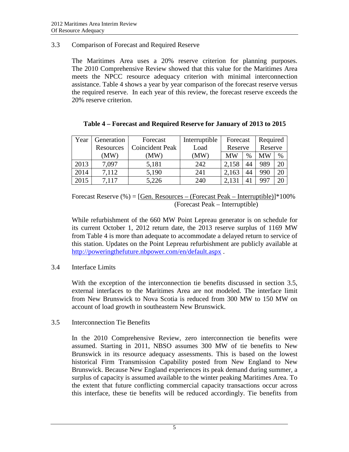3.3 Comparison of Forecast and Required Reserve

The Maritimes Area uses a 20% reserve criterion for planning purposes. The 2010 Comprehensive Review showed that this value for the Maritimes Area meets the NPCC resource adequacy criterion with minimal interconnection assistance. Table 4 shows a year by year comparison of the forecast reserve versus the required reserve. In each year of this review, the forecast reserve exceeds the 20% reserve criterion.

| Year | Generation | Forecast               | Interruptible | Forecast  |      | Required |      |
|------|------------|------------------------|---------------|-----------|------|----------|------|
|      | Resources  | <b>Coincident Peak</b> | Load          | Reserve   |      | Reserve  |      |
|      | (MW)       | (MW)                   | (MW)          | <b>MW</b> | $\%$ | MW       | $\%$ |
| 2013 | 7.097      | 5,181                  | 242           | 2,158     | 44   | 989      | 20   |
| 2014 | 7,112      | 5,190                  | 241           | 2,163     | 44   | 990      | 20   |
| 2015 | 7,117      | 5,226                  | 240           | 2,131     |      | 997      | 20   |

**Table 4 – Forecast and Required Reserve for January of 2013 to 2015**

Forecast Reserve  $(\% ) = [Gen.$  Resources – (Forecast Peak – Interruptible)]\*100% (Forecast Peak – Interruptible)

While refurbishment of the 660 MW Point Lepreau generator is on schedule for its current October 1, 2012 return date, the 2013 reserve surplus of 1169 MW from Table 4 is more than adequate to accommodate a delayed return to service of this station. Updates on the Point Lepreau refurbishment are publicly available at <http://poweringthefuture.nbpower.com/en/default.aspx> .

3.4 Interface Limits

With the exception of the interconnection tie benefits discussed in section 3.5, external interfaces to the Maritimes Area are not modeled. The interface limit from New Brunswick to Nova Scotia is reduced from 300 MW to 150 MW on account of load growth in southeastern New Brunswick.

### 3.5 Interconnection Tie Benefits

In the 2010 Comprehensive Review, zero interconnection tie benefits were assumed. Starting in 2011, NBSO assumes 300 MW of tie benefits to New Brunswick in its resource adequacy assessments. This is based on the lowest historical Firm Transmission Capability posted from New England to New Brunswick. Because New England experiences its peak demand during summer, a surplus of capacity is assumed available to the winter peaking Maritimes Area. To the extent that future conflicting commercial capacity transactions occur across this interface, these tie benefits will be reduced accordingly. Tie benefits from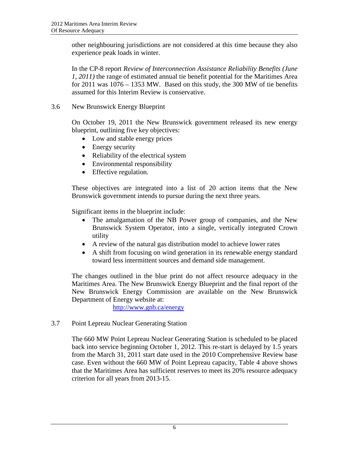other neighbouring jurisdictions are not considered at this time because they also experience peak loads in winter.

In the CP-8 report *Review of Interconnection Assistance Reliability Benefits (June 1, 2011)* the range of estimated annual tie benefit potential for the Maritimes Area for 2011 was 1076 – 1353 MW. Based on this study, the 300 MW of tie benefits assumed for this Interim Review is conservative.

3.6 New Brunswick Energy Blueprint

On October 19, 2011 the New Brunswick government released its new energy blueprint, outlining five key objectives:

- Low and stable energy prices
- Energy security
- Reliability of the electrical system
- Environmental responsibility
- Effective regulation.

These objectives are integrated into a list of 20 action items that the New Brunswick government intends to pursue during the next three years.

Significant items in the blueprint include:

- The amalgamation of the NB Power group of companies, and the New Brunswick System Operator, into a single, vertically integrated Crown utility
- A review of the natural gas distribution model to achieve lower rates
- A shift from focusing on wind generation in its renewable energy standard toward less intermittent sources and demand side management.

The changes outlined in the blue print do not affect resource adequacy in the Maritimes Area. The New Brunswick Energy Blueprint and the final report of the New Brunswick Energy Commission are available on the New Brunswick Department of Energy website at:

<http://www.gnb.ca/energy>

3.7 Point Lepreau Nuclear Generating Station

The 660 MW Point Lepreau Nuclear Generating Station is scheduled to be placed back into service beginning October 1, 2012. This re-start is delayed by 1.5 years from the March 31, 2011 start date used in the 2010 Comprehensive Review base case. Even without the 660 MW of Point Lepreau capacity, Table 4 above shows that the Maritimes Area has sufficient reserves to meet its 20% resource adequacy criterion for all years from 2013-15.